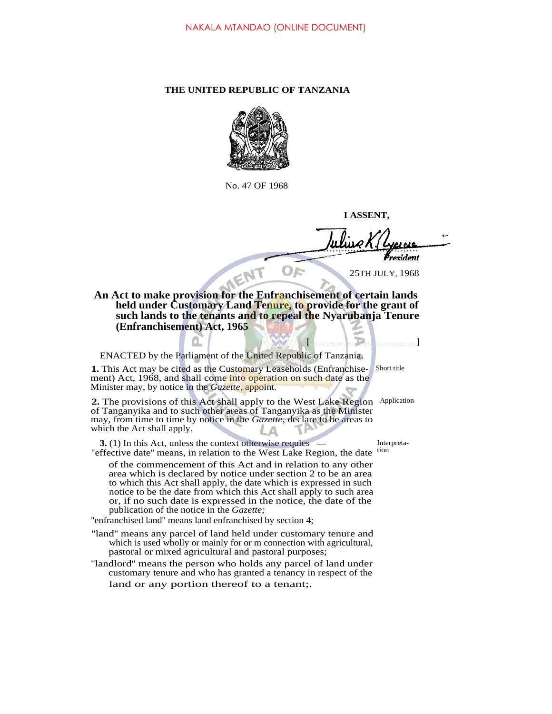## **THE UNITED REPUBLIC OF TANZANIA**



No. 47 OF 1968

**I ASSENT,**

esident 25TH JULY, 1968

**[ ]**

## **An Act to make provision for the Enfranchisement of certain lands held under Customary Land Tenure, to provide for the grant of such lands to the tenants and to repeal the Nyarubanja Tenure (Enfranchisement) Act, 1965**

ENACTED by the Parliament of the United Republic of Tanzania.

1. This Act may be cited as the Customary Leaseholds (EnfranchiseShort title ment) Act, 1968, and shall come into operation on such date as the Minister may, by notice in the *Gazette,* appoint.

2. The provisions of this Act shall apply to the West Lake Region Application of Tanganyika and to such other areas of Tanganyika as the Minister may, from time to time by notice in the *Gazette,* declare to be areas to which the Act shall apply.

**3.** (1) In this Act, unless the context otherwise requies — Interpreta-"effective date" means, in relation to the West Lake Region, the date tion

of the commencement of this Act and in relation to any other area which is declared by notice under section 2 to be an area to which this Act shall apply, the date which is expressed in such notice to be the date from which this Act shall apply to such area or, if no such date is expressed in the notice, the date of the publication of the notice in the *Gazette;*

''enfranchised land'' means land enfranchised by section 4;

''land'' means any parcel of land held under customary tenure and which is used wholly or mainly for or m connection with agricultural, pastoral or mixed agricultural and pastoral purposes;

''landlord'' means the person who holds any parcel of land under customary tenure and who has granted a tenancy in respect of the land or any portion thereof to a tenant;.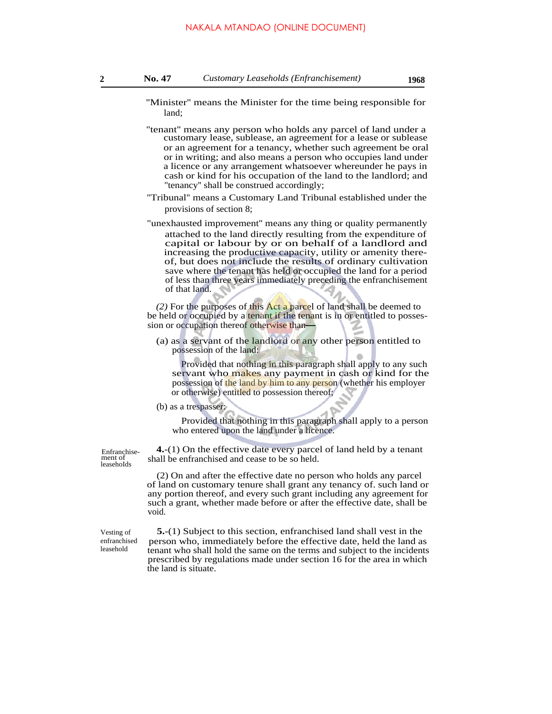- ''Minister'' means the Minister for the time being responsible for land;
- ''tenant'' means any person who holds any parcel of land under a customary lease, sublease, an agreement for a lease or sublease or an agreement for a tenancy, whether such agreement be oral or in writing; and also means a person who occupies land under a licence or any arrangement whatsoever whereunder he pays in cash or kind for his occupation of the land to the landlord; and ''tenancy'' shall be construed accordingly;
- ''Tribunal'' means a Customary Land Tribunal established under the provisions of section 8;
- "unexhausted improvement'' means any thing or quality permanently attached to the land directly resulting from the expenditure of capital or labour by or on behalf of a landlord and increasing the productive capacity, utility or amenity thereof, but does not include the results of ordinary cultivation save where the tenant has held or occupied the land for a period of less than three years immediately preceding the enfranchisement of that land.

*(2)* For the purposes of this Act a parcel of land shall be deemed to be held or occupied by a tenant if the tenant is in or entitled to possession or occupation thereof otherwise than

(a) as a servant of the landlord or any other person entitled to possession of the land:

Provided that nothing in this paragraph shall apply to any such servant who makes any payment in cash or kind for the possession of the land by him to any person (whether his employer or otherwise) entitled to possession thereof;

(b) as a trespasser:

Provided that nothing in this paragraph shall apply to a person who entered upon the land under a licence.

Enfranchisement of leasehoIds

**4.**-(1) On the effective date every parcel of land held by a tenant shall be enfranchised and cease to be so held.

(2) On and after the effective date no person who holds any parcel of land on customary tenure shall grant any tenancy of. such land or any portion thereof, and every such grant including any agreement for such a grant, whether made before or after the effective date, shall be void.

Vesting of enfranchised leasehold

**5.**-(1) Subject to this section, enfranchised land shall vest in the person who, immediately before the effective date, held the land as tenant who shall hold the same on the terms and subject to the incidents prescribed by regulations made under section 16 for the area in which the land is situate.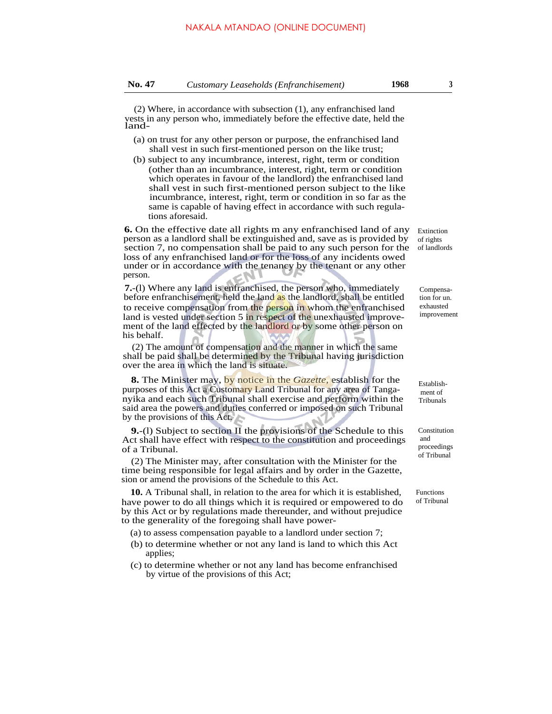(2) Where, in accordance with subsection (1), any enfranchised land vests in any person who, immediately before the effective date, held the land-

- (a) on trust for any other person or purpose, the enfranchised land shall vest in such first-mentioned person on the like trust;
- (b) subject to any incumbrance, interest, right, term or condition (other than an incumbrance, interest, right, term or condition which operates in favour of the landlord) the enfranchised land shall vest in such first-mentioned person subject to the like incumbrance, interest, right, term or condition in so far as the same is capable of having effect in accordance with such regulations aforesaid.

**6.** On the effective date all rights m any enfranchised land of any person as a landlord shall be extinguished and, save as is provided by section 7, no compensation shall be paid to any such person for the of landlords loss of any enfranchised land or for the loss of any incidents owed under or in accordance with the tenancy by the tenant or any other person.

**7.**-(l) Where any land is enfranchised, the person who, immediately before enfranchisement, held the land as the landlord, shall be entitled to receive compensation from the person in whom the enfranchised land is vested under section 5 in respect of the unexhausted improvement of the land effected by the landlord or by some other person on his behalf.

(2) The amount of compensation and the manner in which the same shall be paid shall be determined by the Tribunal having jurisdiction over the area in which the land is situate.

**8.** The Minister may, by notice in the *Gazette,* establish for the purposes of this Act a Customary Land Tribunal for any area of Tanganyika and each such Tribunal shall exercise and perform within the said area the powers and duties conferred or imposed on such Tribunal by the provisions of this Act.

**9.**-(l) Subject to section II the provisions of the Schedule to this Act shall have effect with respect to the constitution and proceedings of a Tribunal.

(2) The Minister may, after consultation with the Minister for the time being responsible for legal affairs and by order in the Gazette, sion or amend the provisions of the Schedule to this Act.

**10.** A Tribunal shall, in relation to the area for which it is established, have power to do all things which it is required or empowered to do by this Act or by regulations made thereunder, and without prejudice to the generality of the foregoing shall have power-

- (a) to assess compensation payable to a landlord under section 7;
- (b) to determine whether or not any land is land to which this Act applies;
- (c) to determine whether or not any land has become enfranchised by virtue of the provisions of this Act;

Extinction of rights

> Compensation for un. exhausted improvement

Establish ment of Tribunals

Constitution and proceedings of Tribunal

Functions of Tribunal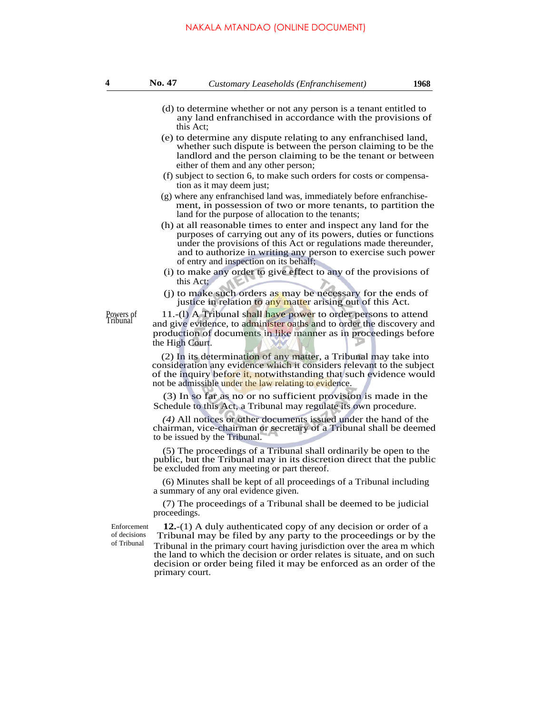- (d) to determine whether or not any person is a tenant entitled to any land enfranchised in accordance with the provisions of this Act;
- (e) to determine any dispute relating to any enfranchised land, whether such dispute is between the person claiming to be the landlord and the person claiming to be the tenant or between either of them and any other person;
- (f) subject to section 6, to make such orders for costs or compensation as it may deem just;
- (g) where any enfranchised land was, immediately before enfranchisement, in possession of two or more tenants, to partition the land for the purpose of allocation to the tenants;
- (h) at all reasonable times to enter and inspect any land for the purposes of carrying out any of its powers, duties or functions under the provisions of this Act or regulations made thereunder, and to authorize in writing any person to exercise such power of entry and inspection on its behalf;
- (i) to make any order to give effect to any of the provisions of this Act;
- (j) to make such orders as may be necessary for the ends of justice in relation to any matter arising out of this Act.

11.-(1) A Tribunal shall have power to order persons to attend and give evidence, to administer oaths and to order the discovery and production of documents in like manner as in proceedings before the High Court.

(2) In its determination of any matter, a Tribunal may take into consideration any evidence which it considers relevant to the subject of the inquiry before it, notwithstanding that such evidence would not be admissible under the law relating to evidence.

(3) In so far as no or no sufficient provision is made in the Schedule to this Act, a Tribunal may regulate its own procedure.

*(4)* All notices or other documents issued under the hand of the chairman, vice-chairman or secretary of a Tribunal shall be deemed to be issued by the Tribunal.

(5) The proceedings of a Tribunal shall ordinarily be open to the public, but the Tribunal may in its discretion direct that the public be excluded from any meeting or part thereof.

(6) Minutes shall be kept of all proceedings of a Tribunal including a summary of any oral evidence given.

(7) The proceedings of a Tribunal shall be deemed to be judicial proceedings.

Enforcement of decisions of Tribunal

Powers of Tribunal

> **12.**-(1) A duly authenticated copy of any decision or order of a Tribunal may be filed by any party to the proceedings or by the Tribunal in the primary court having jurisdiction over the area m which the land to which the decision or order relates is situate, and on such decision or order being filed it may be enforced as an order of the primary court.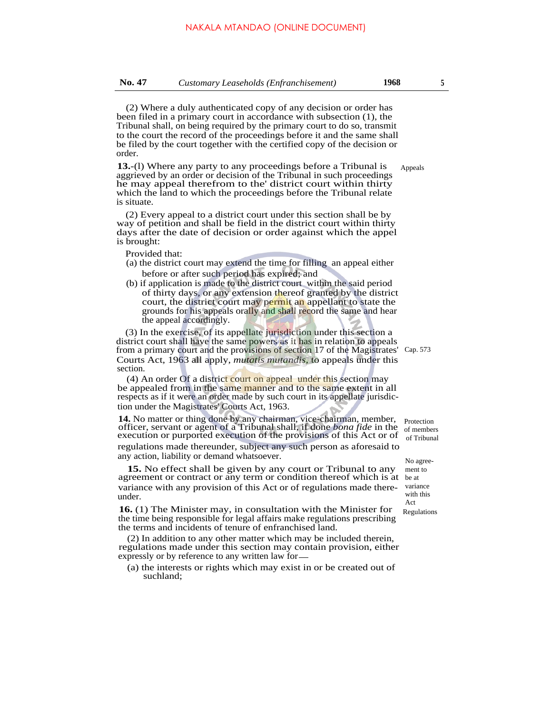(2) Where a duly authenticated copy of any decision or order has been filed in a primary court in accordance with subsection (1), the Tribunal shall, on being required by the primary court to do so, transmit to the court the record of the proceedings before it and the same shall be filed by the court together with the certified copy of the decision or order.

**13.**-(l) Where any party to any proceedings before a Tribunal is aggrieved by an order or decision of the Tribunal in such proceedings he may appeal therefrom to the' district court within thirty which the land to which the proceedings before the Tribunal relate is situate.

(2) Every appeal to a district court under this section shall be by way of petition and shall be field in the district court within thirty days after the date of decision or order against which the appel is brought:

Provided that:

- (a) the district court may extend the time for filling an appeal either before or after such period has expired; and
- (b) if application is made to the district court within the said period of thirty days, or any extension thereof granted by the district court, the district court may permit an appellant to state the grounds for his appeals orally and shall record the same and hear the appeal accordingly.

(3) In the exercise, of its appellate jurisdiction under this section a district court shall have the same powers as it has in relation to appeals from a primary court and the provisions of section 17 of the Magistrates' Cap. 573 Courts Act, 1963 all apply, *mutatis mutandis,* to appeals under this section.

(4) An order Of a district court on appeal under this section may be appealed from in the same manner and to the same extent in all respects as if it were an order made by such court in its appellate jurisdiction under the Magistrates' Courts Act, 1963.

**14.** No matter or thing done by any chairman, vice-chairman, member, officer, servant or agent of a Tribunal shall, if done *bona fide* in the execution or purported execution of the provisions of this Act or of regulations made thereunder, subject any such person as aforesaid to any action, liability or demand whatsoever.

**15.** No effect shall be given by any court or Tribunal to any agreement or contract or any term or condition thereof which is at be at variance with any provision of this Act or of regulations made thereunder.

**16.** (1) The Minister may, in consultation with the Minister for the time being responsible for legal affairs make regulations prescribing the terms and incidents of tenure of enfranchised land.

(2) In addition to any other matter which may be included therein, regulations made under this section may contain provision, either expressly or by reference to any written law for

(a) the interests or rights which may exist in or be created out of suchland;

Protection of members of Tribunal

No agreement to variance with this Act Regulations

Appeals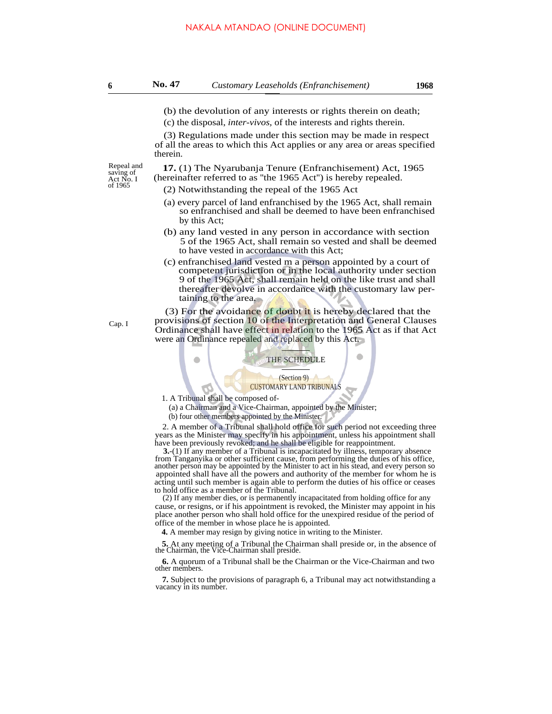(b) the devolution of any interests or rights therein on death;

(c) the disposal, *inter-vivos,* of the interests and rights therein.

(3) Regulations made under this section may be made in respect of all the areas to which this Act applies or any area or areas specified therein.

saving of<br>Act No. I

Cap. I

Repeal and **17.** (1) The Nyarubanja Tenure (Enfranchisement) Act, 1965  $\frac{\text{Sawing of}}{\text{ActNo. I}}$  (hereinafter referred to as "the 1965 Act") is hereby repealed.

- $(2)$  Notwithstanding the repeal of the 1965 Act
- (a) every parcel of land enfranchised by the 1965 Act, shall remain so enfranchised and shall be deemed to have been enfranchised by this Act;
- (b) any land vested in any person in accordance with section 5 of the 1965 Act, shall remain so vested and shall be deemed to have vested in accordance with this Act;
- (c) enfranchised land vested m a person appointed by a court of competent jurisdiction or in the local authority under section 9 of the 1965 Act, shall remain held on the like trust and shall thereafter devolve in accordance with the customary law pertaining to the area.

(3) For the avoidance of doubt it is hereby declared that the provisions of section 10 of the Interpretation and General Clauses Ordinance shall have effect in relation to the 1965 Act as if that Act were an Ordinance repealed and replaced by this Act.

THE SCHEDULE

## (Section 9) CUSTOMARY LAND TRIBUNALS

1. A Tribunal shall be composed of-

 $\bullet$ 

(a) a Chairman and a Vice-Chairman, appointed by the Minister;

(b) four other members appointed by the Minister.

2. A member of a Tribunal shall hold office for such period not exceeding three years as the Minister may specify in his appointment, unless his appointment shall have been previously revoked; and he shall be eligible for reappointment.

**3.**-(1) If any member of a Tribunal is incapacitated by illness, temporary absence from Tanganyika or other sufficient cause, from performing the duties of his office, another person may be appointed by the Minister to act in his stead, and every person so appointed shall have all the powers and authority of the member for whom he is acting until such member is again able to perform the duties of his office or ceases to hold office as a member of the Tribunal.

(2) If any member dies, or is permanently incapacitated from holding office for any cause, or resigns, or if his appointment is revoked, the Minister may appoint in his place another person who shall hold office for the unexpired residue of the period of office of the member in whose place he is appointed.

**4.** A member may resign by giving notice in writing to the Minister.

**5.** At any meeting of a Tribunal the Chairman shall preside or, in the absence of the Chairman, the Vice-Chairman shall preside.

**6.** A quorum of a Tribunal shall be the Chairman or the Vice-Chairman and two other members.

**7.** Subject to the provisions of paragraph 6, a Tribunal may act notwithstanding a vacancy in its number.